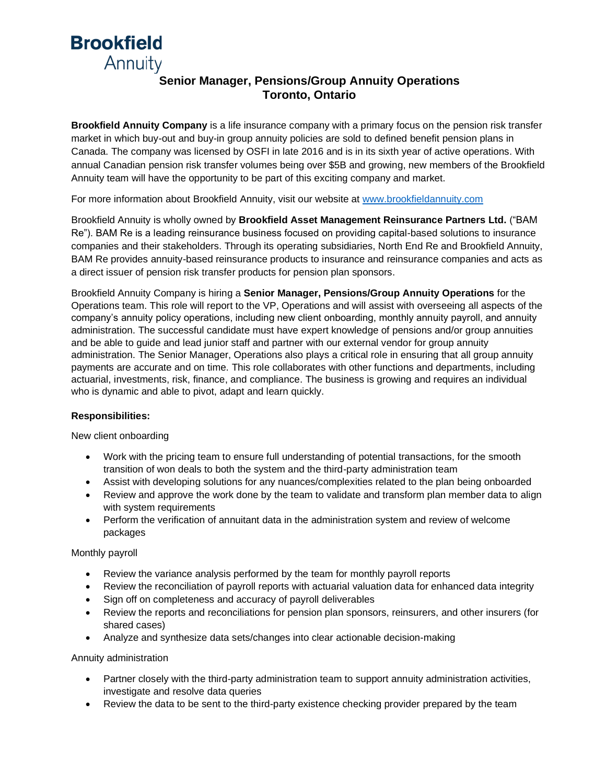# **Brookfield** Annuity

## **Senior Manager, Pensions/Group Annuity Operations Toronto, Ontario**

**Brookfield Annuity Company** is a life insurance company with a primary focus on the pension risk transfer market in which buy-out and buy-in group annuity policies are sold to defined benefit pension plans in Canada. The company was licensed by OSFI in late 2016 and is in its sixth year of active operations. With annual Canadian pension risk transfer volumes being over \$5B and growing, new members of the Brookfield Annuity team will have the opportunity to be part of this exciting company and market.

For more information about Brookfield Annuity, visit our website at [www.brookfieldannuity.com](http://www.brookfieldannuity.com/)

Brookfield Annuity is wholly owned by **Brookfield Asset Management Reinsurance Partners Ltd.** ("BAM Re"). BAM Re is a leading reinsurance business focused on providing capital-based solutions to insurance companies and their stakeholders. Through its operating subsidiaries, North End Re and Brookfield Annuity, BAM Re provides annuity-based reinsurance products to insurance and reinsurance companies and acts as a direct issuer of pension risk transfer products for pension plan sponsors.

Brookfield Annuity Company is hiring a **Senior Manager, Pensions/Group Annuity Operations** for the Operations team. This role will report to the VP, Operations and will assist with overseeing all aspects of the company's annuity policy operations, including new client onboarding, monthly annuity payroll, and annuity administration. The successful candidate must have expert knowledge of pensions and/or group annuities and be able to guide and lead junior staff and partner with our external vendor for group annuity administration. The Senior Manager, Operations also plays a critical role in ensuring that all group annuity payments are accurate and on time. This role collaborates with other functions and departments, including actuarial, investments, risk, finance, and compliance. The business is growing and requires an individual who is dynamic and able to pivot, adapt and learn quickly.

### **Responsibilities:**

New client onboarding

- Work with the pricing team to ensure full understanding of potential transactions, for the smooth transition of won deals to both the system and the third-party administration team
- Assist with developing solutions for any nuances/complexities related to the plan being onboarded
- Review and approve the work done by the team to validate and transform plan member data to align with system requirements
- Perform the verification of annuitant data in the administration system and review of welcome packages

#### Monthly payroll

- Review the variance analysis performed by the team for monthly payroll reports
- Review the reconciliation of payroll reports with actuarial valuation data for enhanced data integrity
- Sign off on completeness and accuracy of payroll deliverables
- Review the reports and reconciliations for pension plan sponsors, reinsurers, and other insurers (for shared cases)
- Analyze and synthesize data sets/changes into clear actionable decision-making

#### Annuity administration

- Partner closely with the third-party administration team to support annuity administration activities, investigate and resolve data queries
- Review the data to be sent to the third-party existence checking provider prepared by the team